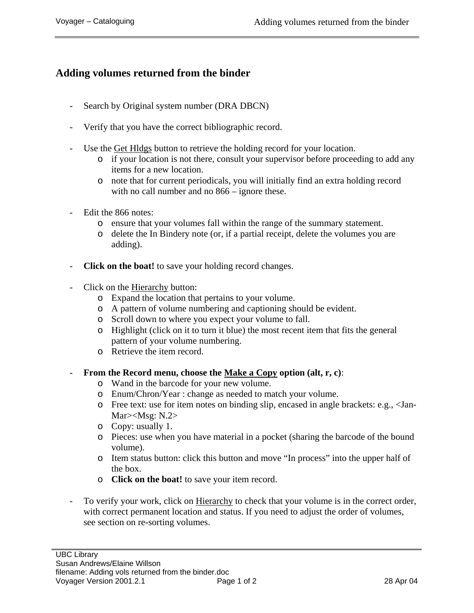## **Adding volumes returned from the binder**

- Search by Original system number (DRA DBCN)
- Verify that you have the correct bibliographic record.
- Use the Get Hldgs button to retrieve the holding record for your location.
	- o if your location is not there, consult your supervisor before proceeding to add any items for a new location.
	- o note that for current periodicals, you will initially find an extra holding record with no call number and no  $866$  – ignore these.
- Edit the 866 notes:
	- o ensure that your volumes fall within the range of the summary statement.
	- o delete the In Bindery note (or, if a partial receipt, delete the volumes you are adding).
- **Click on the boat!** to save your holding record changes.
- Click on the Hierarchy button:
	- o Expand the location that pertains to your volume.
	- o A pattern of volume numbering and captioning should be evident.
	- o Scroll down to where you expect your volume to fall.
	- o Highlight (click on it to turn it blue) the most recent item that fits the general pattern of your volume numbering.
	- o Retrieve the item record.
- **From the Record menu, choose the Make a Copy option (alt, r, c)**:
	- o Wand in the barcode for your new volume.
	- o Enum/Chron/Year : change as needed to match your volume.
	- o Free text: use for item notes on binding slip, encased in angle brackets: e.g., <Jan-Mar><Msg: N.2>
	- o Copy: usually 1.
	- o Pieces: use when you have material in a pocket (sharing the barcode of the bound volume).
	- o Item status button: click this button and move "In process" into the upper half of the box.
	- o **Click on the boat!** to save your item record.
- To verify your work, click on Hierarchy to check that your volume is in the correct order, with correct permanent location and status. If you need to adjust the order of volumes, see section on re-sorting volumes.